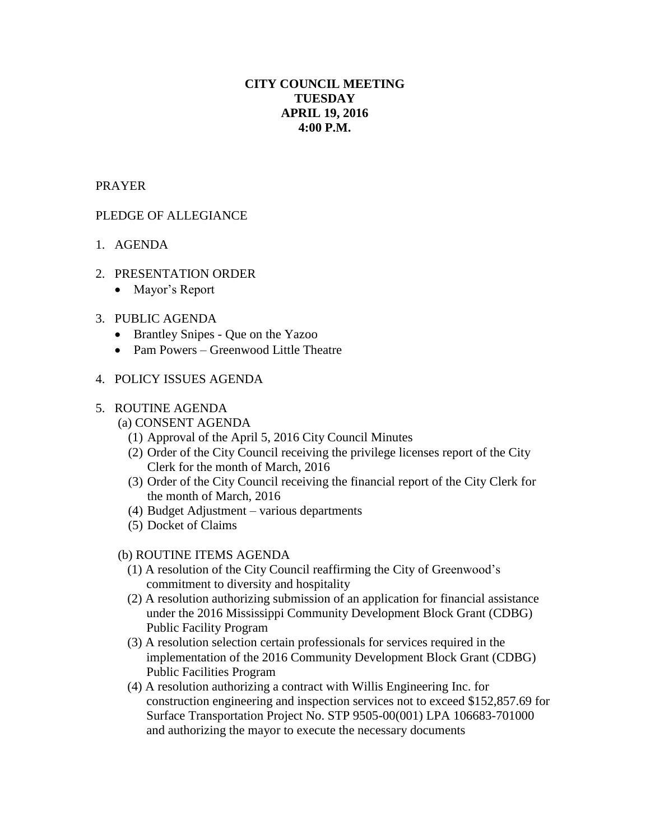# **CITY COUNCIL MEETING TUESDAY APRIL 19, 2016 4:00 P.M.**

## PRAYER

## PLEDGE OF ALLEGIANCE

- 1. AGENDA
- 2. PRESENTATION ORDER
	- Mayor's Report

### 3. PUBLIC AGENDA

- Brantley Snipes Que on the Yazoo
- Pam Powers Greenwood Little Theatre

#### 4. POLICY ISSUES AGENDA

#### 5. ROUTINE AGENDA

- (a) CONSENT AGENDA
	- (1) Approval of the April 5, 2016 City Council Minutes
	- (2) Order of the City Council receiving the privilege licenses report of the City Clerk for the month of March, 2016
	- (3) Order of the City Council receiving the financial report of the City Clerk for the month of March, 2016
	- (4) Budget Adjustment various departments
	- (5) Docket of Claims

#### (b) ROUTINE ITEMS AGENDA

- (1) A resolution of the City Council reaffirming the City of Greenwood's commitment to diversity and hospitality
- (2) A resolution authorizing submission of an application for financial assistance under the 2016 Mississippi Community Development Block Grant (CDBG) Public Facility Program
- (3) A resolution selection certain professionals for services required in the implementation of the 2016 Community Development Block Grant (CDBG) Public Facilities Program
- (4) A resolution authorizing a contract with Willis Engineering Inc. for construction engineering and inspection services not to exceed \$152,857.69 for Surface Transportation Project No. STP 9505-00(001) LPA 106683-701000 and authorizing the mayor to execute the necessary documents